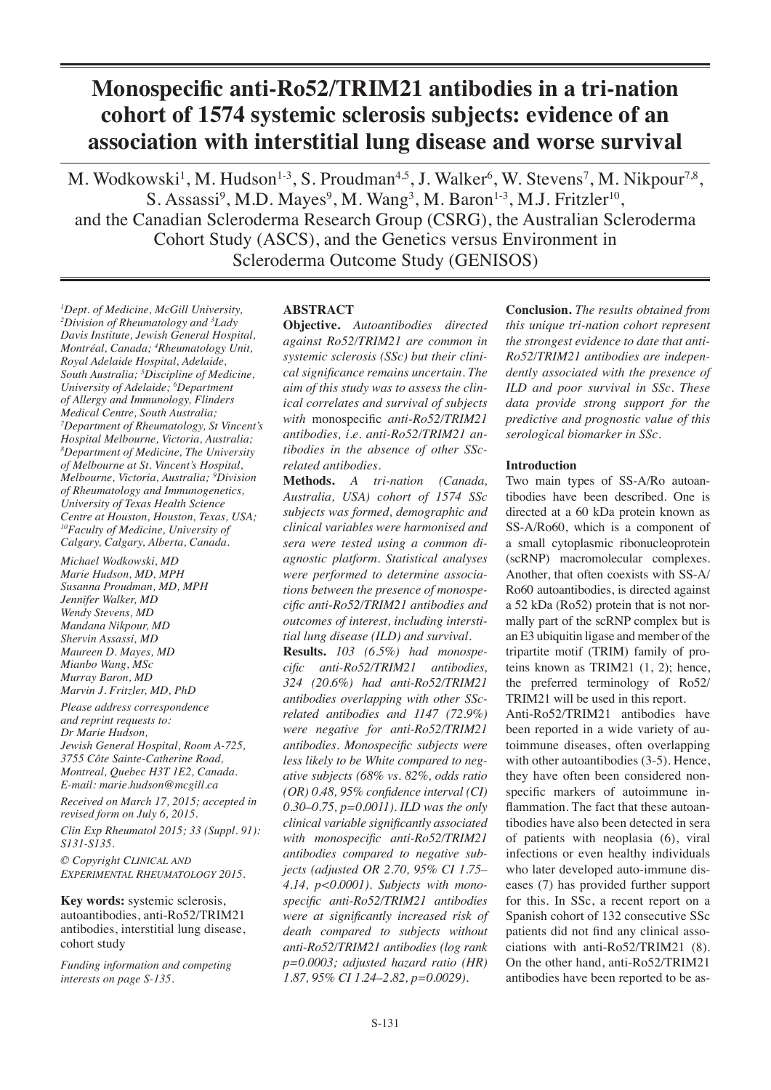# **Monospecific anti-Ro52/TRIM21 antibodies in a tri-nation cohort of 1574 systemic sclerosis subjects: evidence of an association with interstitial lung disease and worse survival**

M. Wodkowski<sup>1</sup>, M. Hudson<sup>1.3</sup>, S. Proudman<sup>4,5</sup>, J. Walker<sup>6</sup>, W. Stevens<sup>7</sup>, M. Nikpour<sup>7,8</sup>, S. Assassi<sup>9</sup>, M.D. Mayes<sup>9</sup>, M. Wang<sup>3</sup>, M. Baron<sup>1-3</sup>, M.J. Fritzler<sup>10</sup>, and the Canadian Scleroderma Research Group (CSRG), the Australian Scleroderma Cohort Study (ASCS), and the Genetics versus Environment in Scleroderma Outcome Study (GENISOS)

*1 Dept. of Medicine, McGill University, 2 Division of Rheumatology and 3 Lady Davis Institute, Jewish General Hospital, Montréal, Canada; 4 Rheumatology Unit, Royal Adelaide Hospital, Adelaide, South Australia; 5 Discipline of Medicine, University of Adelaide; 6 Department of Allergy and Immunology, Flinders Medical Centre, South Australia; 7 Department of Rheumatology, St Vincent's Hospital Melbourne, Victoria, Australia; 8 Department of Medicine, The University of Melbourne at St. Vincent's Hospital, Melbourne, Victoria, Australia; 9Division of Rheumatology and Immunogenetics, University of Texas Health Science Centre at Houston, Houston, Texas, USA; 10Faculty of Medicine, University of Calgary, Calgary, Alberta, Canada.*

*Michael Wodkowski, MD Marie Hudson, MD, MPH Susanna Proudman, MD, MPH Jennifer Walker, MD Wendy Stevens, MD Mandana Nikpour, MD Shervin Assassi, MD Maureen D. Mayes, MD Mianbo Wang, MSc Murray Baron, MD Marvin J. Fritzler, MD, PhD*

*Please address correspondence and reprint requests to: Dr Marie Hudson, Jewish General Hospital, Room A-725, 3755 Côte Sainte-Catherine Road, Montreal, Quebec H3T 1E2, Canada. E-mail: marie.hudson@mcgill.ca*

*Received on March 17, 2015; accepted in revised form on July 6, 2015. Clin Exp Rheumatol 2015; 33 (Suppl. 91):* 

*S131-S135. © Copyright Clinical and Experimental Rheumatology 2015.*

**Key words:** systemic sclerosis, autoantibodies, anti-Ro52/TRIM21 antibodies, interstitial lung disease, cohort study

*Funding information and competing interests on page S-135.*

## **ABSTRACT**

**Objective.** *Autoantibodies directed against Ro52/TRIM21 are common in systemic sclerosis (SSc) but their clinical significance remains uncertain. The aim of this study was to assess the clinical correlates and survival of subjects with* monospecific *anti-Ro52/TRIM21 antibodies, i.e. anti-Ro52/TRIM21 antibodies in the absence of other SScrelated antibodies.*

**Methods.** *A tri-nation (Canada, Australia, USA) cohort of 1574 SSc subjects was formed, demographic and clinical variables were harmonised and sera were tested using a common diagnostic platform. Statistical analyses were performed to determine associations between the presence of monospecific anti-Ro52/TRIM21 antibodies and outcomes of interest, including interstitial lung disease (ILD) and survival.*

**Results.** *103 (6.5%) had monospecific anti-Ro52/TRIM21 antibodies, 324 (20.6%) had anti-Ro52/TRIM21 antibodies overlapping with other SScrelated antibodies and 1147 (72.9%) were negative for anti-Ro52/TRIM21 antibodies. Monospecific subjects were less likely to be White compared to negative subjects (68% vs. 82%, odds ratio (OR) 0.48, 95% confidence interval (CI) 0.30–0.75, p=0.0011). ILD was the only clinical variable significantly associated with monospecific anti-Ro52/TRIM21 antibodies compared to negative subjects (adjusted OR 2.70, 95% CI 1.75– 4.14, p<0.0001). Subjects with monospecific anti-Ro52/TRIM21 antibodies were at significantly increased risk of death compared to subjects without anti-Ro52/TRIM21 antibodies (log rank p=0.0003; adjusted hazard ratio (HR) 1.87, 95% CI 1.24–2.82, p=0.0029).* 

**Conclusion.** *The results obtained from this unique tri-nation cohort represent the strongest evidence to date that anti-Ro52/TRIM21 antibodies are independently associated with the presence of ILD and poor survival in SSc. These data provide strong support for the predictive and prognostic value of this serological biomarker in SSc.*

## **Introduction**

Two main types of SS-A/Ro autoantibodies have been described. One is directed at a 60 kDa protein known as SS-A/Ro60, which is a component of a small cytoplasmic ribonucleoprotein (scRNP) macromolecular complexes. Another, that often coexists with SS-A/ Ro60 autoantibodies, is directed against a 52 kDa (Ro52) protein that is not normally part of the scRNP complex but is an E3 ubiquitin ligase and member of the tripartite motif (TRIM) family of proteins known as TRIM21 (1, 2); hence, the preferred terminology of Ro52/ TRIM21 will be used in this report.

Anti-Ro52/TRIM21 antibodies have been reported in a wide variety of autoimmune diseases, often overlapping with other autoantibodies (3-5). Hence, they have often been considered nonspecific markers of autoimmune inflammation. The fact that these autoantibodies have also been detected in sera of patients with neoplasia (6), viral infections or even healthy individuals who later developed auto-immune diseases (7) has provided further support for this. In SSc, a recent report on a Spanish cohort of 132 consecutive SSc patients did not find any clinical associations with anti-Ro52/TRIM21 (8). On the other hand, anti-Ro52/TRIM21 antibodies have been reported to be as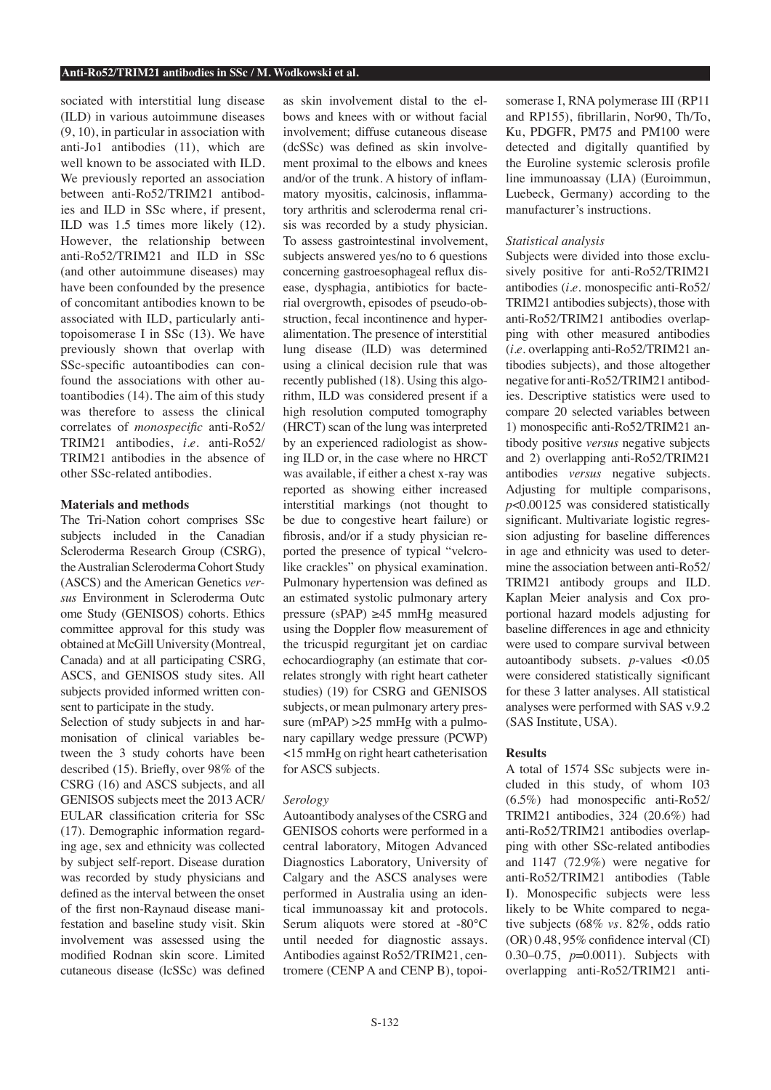sociated with interstitial lung disease (ILD) in various autoimmune diseases (9, 10), in particular in association with anti-Jo1 antibodies (11), which are well known to be associated with ILD. We previously reported an association between anti-Ro52/TRIM21 antibodies and ILD in SSc where, if present, ILD was 1.5 times more likely (12). However, the relationship between anti-Ro52/TRIM21 and ILD in SSc (and other autoimmune diseases) may have been confounded by the presence of concomitant antibodies known to be associated with ILD, particularly antitopoisomerase I in SSc (13). We have previously shown that overlap with SSc-specific autoantibodies can confound the associations with other autoantibodies (14). The aim of this study was therefore to assess the clinical correlates of *monospecific* anti-Ro52/ TRIM21 antibodies, *i.e.* anti-Ro52/ TRIM21 antibodies in the absence of other SSc-related antibodies.

## **Materials and methods**

The Tri-Nation cohort comprises SSc subjects included in the Canadian Scleroderma Research Group (CSRG), the Australian Scleroderma Cohort Study (ASCS) and the American Genetics *versus* Environment in Scleroderma Outc ome Study (GENISOS) cohorts. Ethics committee approval for this study was obtained at McGill University (Montreal, Canada) and at all participating CSRG, ASCS, and GENISOS study sites. All subjects provided informed written consent to participate in the study.

Selection of study subjects in and harmonisation of clinical variables between the 3 study cohorts have been described (15). Briefly, over 98% of the CSRG (16) and ASCS subjects, and all GENISOS subjects meet the 2013 ACR/ EULAR classification criteria for SSc (17). Demographic information regarding age, sex and ethnicity was collected by subject self-report. Disease duration was recorded by study physicians and defined as the interval between the onset of the first non-Raynaud disease manifestation and baseline study visit. Skin involvement was assessed using the modified Rodnan skin score. Limited cutaneous disease (lcSSc) was defined

as skin involvement distal to the elbows and knees with or without facial involvement; diffuse cutaneous disease (dcSSc) was defined as skin involvement proximal to the elbows and knees and/or of the trunk. A history of inflammatory myositis, calcinosis, inflammatory arthritis and scleroderma renal crisis was recorded by a study physician. To assess gastrointestinal involvement, subjects answered yes/no to 6 questions concerning gastroesophageal reflux disease, dysphagia, antibiotics for bacterial overgrowth, episodes of pseudo-obstruction, fecal incontinence and hyperalimentation. The presence of interstitial lung disease (ILD) was determined using a clinical decision rule that was recently published (18). Using this algorithm, ILD was considered present if a high resolution computed tomography (HRCT) scan of the lung was interpreted by an experienced radiologist as showing ILD or, in the case where no HRCT was available, if either a chest x-ray was reported as showing either increased interstitial markings (not thought to be due to congestive heart failure) or fibrosis, and/or if a study physician reported the presence of typical "velcrolike crackles" on physical examination. Pulmonary hypertension was defined as an estimated systolic pulmonary artery pressure (sPAP)  $\geq$ 45 mmHg measured using the Doppler flow measurement of the tricuspid regurgitant jet on cardiac echocardiography (an estimate that correlates strongly with right heart catheter studies) (19) for CSRG and GENISOS subjects, or mean pulmonary artery pressure (mPAP) > 25 mmHg with a pulmonary capillary wedge pressure (PCWP) <15 mmHg on right heart catheterisation for ASCS subjects.

## *Serology*

Autoantibody analyses of the CSRG and GENISOS cohorts were performed in a central laboratory, Mitogen Advanced Diagnostics Laboratory, University of Calgary and the ASCS analyses were performed in Australia using an identical immunoassay kit and protocols. Serum aliquots were stored at -80°C until needed for diagnostic assays. Antibodies against Ro52/TRIM21, centromere (CENP A and CENP B), topoi-

somerase I, RNA polymerase III (RP11 and RP155), fibrillarin, Nor90, Th/To, Ku, PDGFR, PM75 and PM100 were detected and digitally quantified by the Euroline systemic sclerosis profile line immunoassay (LIA) (Euroimmun, Luebeck, Germany) according to the manufacturer's instructions.

#### *Statistical analysis*

Subjects were divided into those exclusively positive for anti-Ro52/TRIM21 antibodies (*i.e.* monospecific anti-Ro52/ TRIM21 antibodies subjects), those with anti-Ro52/TRIM21 antibodies overlapping with other measured antibodies (*i.e.* overlapping anti-Ro52/TRIM21 antibodies subjects), and those altogether negative for anti-Ro52/TRIM21 antibodies. Descriptive statistics were used to compare 20 selected variables between 1) monospecific anti-Ro52/TRIM21 antibody positive *versus* negative subjects and 2) overlapping anti-Ro52/TRIM21 antibodies *versus* negative subjects. Adjusting for multiple comparisons, *p*<0.00125 was considered statistically significant. Multivariate logistic regression adjusting for baseline differences in age and ethnicity was used to determine the association between anti-Ro52/ TRIM21 antibody groups and ILD. Kaplan Meier analysis and Cox proportional hazard models adjusting for baseline differences in age and ethnicity were used to compare survival between autoantibody subsets. *p*-values <0.05 were considered statistically significant for these 3 latter analyses. All statistical analyses were performed with SAS v.9.2 (SAS Institute, USA).

### **Results**

A total of 1574 SSc subjects were included in this study, of whom 103 (6.5%) had monospecific anti-Ro52/ TRIM21 antibodies, 324 (20.6%) had anti-Ro52/TRIM21 antibodies overlapping with other SSc-related antibodies and 1147 (72.9%) were negative for anti-Ro52/TRIM21 antibodies (Table I). Monospecific subjects were less likely to be White compared to negative subjects (68% *vs.* 82%, odds ratio (OR) 0.48, 95% confidence interval (CI) 0.30–0.75, *p*=0.0011). Subjects with overlapping anti-Ro52/TRIM21 anti-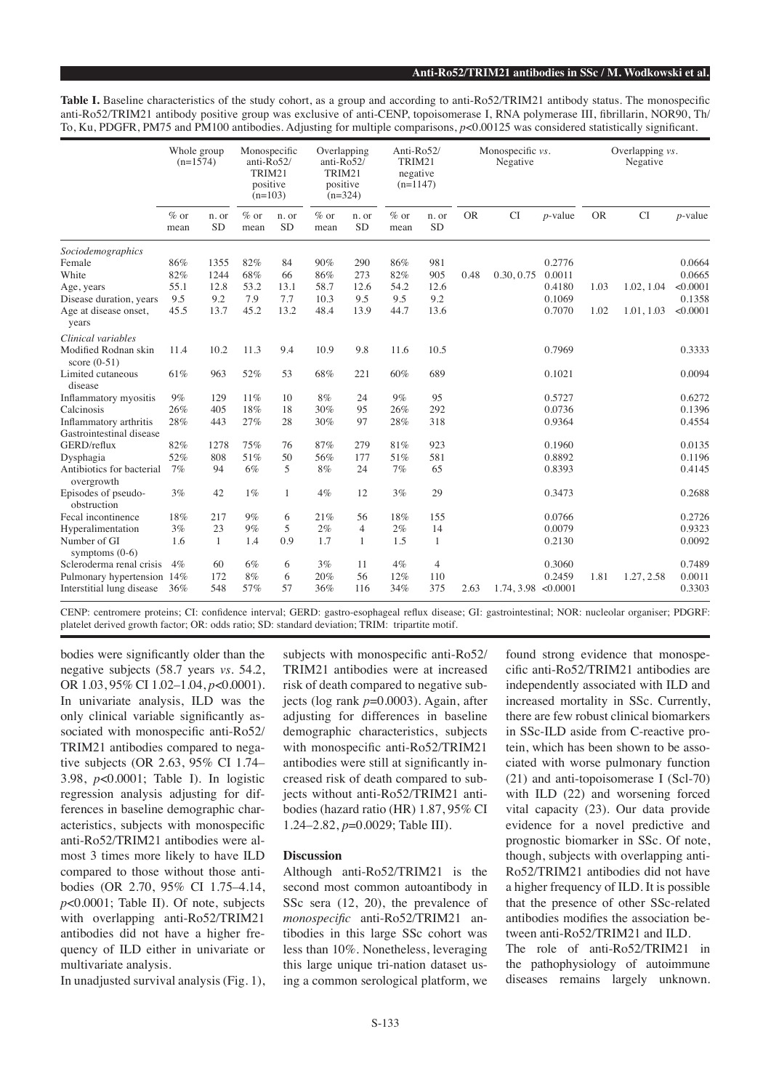**Table I.** Baseline characteristics of the study cohort, as a group and according to anti-Ro52/TRIM21 antibody status. The monospecific anti-Ro52/TRIM21 antibody positive group was exclusive of anti-CENP, topoisomerase I, RNA polymerase III, fibrillarin, NOR90, Th/ To, Ku, PDGFR, PM75 and PM100 antibodies. Adjusting for multiple comparisons, *p*<0.00125 was considered statistically significant.

|                                         | Whole group<br>$(n=1574)$ |                    | Monospecific<br>anti- $Ro52/$<br>TRIM21<br>positive<br>$(n=103)$ |                    | Overlapping<br>anti- $Ro52/$<br>TRIM21<br>positive<br>$(n=324)$ |                    | Anti-Ro52/<br>TRIM21<br>negative<br>$(n=1147)$ |                    | Monospecific vs.<br>Negative |                     |            | Overlapping vs.<br>Negative |            |            |
|-----------------------------------------|---------------------------|--------------------|------------------------------------------------------------------|--------------------|-----------------------------------------------------------------|--------------------|------------------------------------------------|--------------------|------------------------------|---------------------|------------|-----------------------------|------------|------------|
|                                         | $%$ or<br>mean            | n. or<br><b>SD</b> | $\%$ or<br>mean                                                  | n. or<br><b>SD</b> | $\%$ or<br>mean                                                 | n. or<br><b>SD</b> | $\%$ or<br>mean                                | n. or<br><b>SD</b> | <b>OR</b>                    | <b>CI</b>           | $p$ -value | <b>OR</b>                   | <b>CI</b>  | $p$ -value |
| Sociodemographics                       |                           |                    |                                                                  |                    |                                                                 |                    |                                                |                    |                              |                     |            |                             |            |            |
| Female                                  | 86%                       | 1355               | 82%                                                              | 84                 | 90%                                                             | 290                | 86%                                            | 981                |                              |                     | 0.2776     |                             |            | 0.0664     |
| White                                   | 82%                       | 1244               | 68%                                                              | 66                 | 86%                                                             | 273                | 82%                                            | 905                | 0.48                         | 0.30, 0.75          | 0.0011     |                             |            | 0.0665     |
| Age, years                              | 55.1                      | 12.8               | 53.2                                                             | 13.1               | 58.7                                                            | 12.6               | 54.2                                           | 12.6               |                              |                     | 0.4180     | 1.03                        | 1.02, 1.04 | < 0.0001   |
| Disease duration, years                 | 9.5                       | 9.2                | 7.9                                                              | 7.7                | 10.3                                                            | 9.5                | 9.5                                            | 9.2                |                              |                     | 0.1069     |                             |            | 0.1358     |
| Age at disease onset,<br>years          | 45.5                      | 13.7               | 45.2                                                             | 13.2               | 48.4                                                            | 13.9               | 44.7                                           | 13.6               |                              |                     | 0.7070     | 1.02                        | 1.01, 1.03 | < 0.0001   |
| Clinical variables                      |                           |                    |                                                                  |                    |                                                                 |                    |                                                |                    |                              |                     |            |                             |            |            |
| Modified Rodnan skin<br>score $(0-51)$  | 11.4                      | 10.2               | 11.3                                                             | 9.4                | 10.9                                                            | 9.8                | 11.6                                           | 10.5               |                              |                     | 0.7969     |                             |            | 0.3333     |
| Limited cutaneous<br>disease            | 61%                       | 963                | 52%                                                              | 53                 | 68%                                                             | 221                | 60%                                            | 689                |                              |                     | 0.1021     |                             |            | 0.0094     |
| Inflammatory myositis                   | 9%                        | 129                | 11%                                                              | 10                 | $8\%$                                                           | 24                 | $9\%$                                          | 95                 |                              |                     | 0.5727     |                             |            | 0.6272     |
| Calcinosis                              | 26%                       | 405                | 18%                                                              | 18                 | 30%                                                             | 95                 | 26%                                            | 292                |                              |                     | 0.0736     |                             |            | 0.1396     |
| Inflammatory arthritis                  | 28%                       | 443                | 27%                                                              | 28                 | 30%                                                             | 97                 | 28%                                            | 318                |                              |                     | 0.9364     |                             |            | 0.4554     |
| Gastrointestinal disease                |                           |                    |                                                                  |                    |                                                                 |                    |                                                |                    |                              |                     |            |                             |            |            |
| GERD/reflux                             | 82%                       | 1278               | 75%                                                              | 76                 | 87%                                                             | 279                | 81%                                            | 923                |                              |                     | 0.1960     |                             |            | 0.0135     |
| Dysphagia                               | 52%                       | 808                | 51%                                                              | 50                 | 56%                                                             | 177                | 51%                                            | 581                |                              |                     | 0.8892     |                             |            | 0.1196     |
| Antibiotics for bacterial<br>overgrowth | 7%                        | 94                 | 6%                                                               | 5                  | 8%                                                              | 24                 | 7%                                             | 65                 |                              |                     | 0.8393     |                             |            | 0.4145     |
| Episodes of pseudo-<br>obstruction      | 3%                        | 42                 | $1\%$                                                            | 1                  | 4%                                                              | 12                 | 3%                                             | 29                 |                              |                     | 0.3473     |                             |            | 0.2688     |
| Fecal incontinence                      | 18%                       | 217                | 9%                                                               | 6                  | 21%                                                             | 56                 | 18%                                            | 155                |                              |                     | 0.0766     |                             |            | 0.2726     |
| Hyperalimentation                       | 3%                        | 23                 | 9%                                                               | 5                  | $2\%$                                                           | $\overline{4}$     | 2%                                             | 14                 |                              |                     | 0.0079     |                             |            | 0.9323     |
| Number of GI<br>symptoms $(0-6)$        | 1.6                       | $\mathbf{1}$       | 1.4                                                              | 0.9                | 1.7                                                             | $\mathbf{1}$       | 1.5                                            | $\mathbf{1}$       |                              |                     | 0.2130     |                             |            | 0.0092     |
| Scleroderma renal crisis                | 4%                        | 60                 | 6%                                                               | 6                  | 3%                                                              | 11                 | 4%                                             | $\overline{4}$     |                              |                     | 0.3060     |                             |            | 0.7489     |
| Pulmonary hypertension                  | 14%                       | 172                | 8%                                                               | 6                  | 20%                                                             | 56                 | 12%                                            | 110                |                              |                     | 0.2459     | 1.81                        | 1.27, 2.58 | 0.0011     |
| Interstitial lung disease               | 36%                       | 548                | 57%                                                              | 57                 | 36%                                                             | 116                | 34%                                            | 375                | 2.63                         | 1.74, 3.98 < 0.0001 |            |                             |            | 0.3303     |

CENP: centromere proteins; CI: confidence interval; GERD: gastro-esophageal reflux disease; GI: gastrointestinal; NOR: nucleolar organiser; PDGRF: platelet derived growth factor; OR: odds ratio; SD: standard deviation; TRIM: tripartite motif.

bodies were significantly older than the negative subjects (58.7 years *vs.* 54.2, OR 1.03, 95% CI 1.02–1.04, *p*<0.0001). In univariate analysis, ILD was the only clinical variable significantly associated with monospecific anti-Ro52/ TRIM21 antibodies compared to negative subjects (OR 2.63, 95% CI 1.74– 3.98, *p*<0.0001; Table I). In logistic regression analysis adjusting for differences in baseline demographic characteristics, subjects with monospecific anti-Ro52/TRIM21 antibodies were almost 3 times more likely to have ILD compared to those without those antibodies (OR 2.70, 95% CI 1.75–4.14, *p*<0.0001; Table II). Of note, subjects with overlapping anti-Ro52/TRIM21 antibodies did not have a higher frequency of ILD either in univariate or multivariate analysis.

In unadjusted survival analysis (Fig. 1),

subjects with monospecific anti-Ro52/ TRIM21 antibodies were at increased risk of death compared to negative subjects (log rank *p*=0.0003). Again, after adjusting for differences in baseline demographic characteristics, subjects with monospecific anti-Ro52/TRIM21 antibodies were still at significantly increased risk of death compared to subjects without anti-Ro52/TRIM21 antibodies (hazard ratio (HR) 1.87, 95% CI 1.24–2.82, *p*=0.0029; Table III).

## **Discussion**

Although anti-Ro52/TRIM21 is the second most common autoantibody in SSc sera (12, 20), the prevalence of *monospecific* anti-Ro52/TRIM21 antibodies in this large SSc cohort was less than 10%. Nonetheless, leveraging this large unique tri-nation dataset using a common serological platform, we found strong evidence that monospecific anti-Ro52/TRIM21 antibodies are independently associated with ILD and increased mortality in SSc. Currently, there are few robust clinical biomarkers in SSc-ILD aside from C-reactive protein, which has been shown to be associated with worse pulmonary function (21) and anti-topoisomerase I (Scl-70) with ILD (22) and worsening forced vital capacity (23). Our data provide evidence for a novel predictive and prognostic biomarker in SSc. Of note, though, subjects with overlapping anti-Ro52/TRIM21 antibodies did not have a higher frequency of ILD. It is possible that the presence of other SSc-related antibodies modifies the association between anti-Ro52/TRIM21 and ILD.

The role of anti-Ro52/TRIM21 in the pathophysiology of autoimmune diseases remains largely unknown.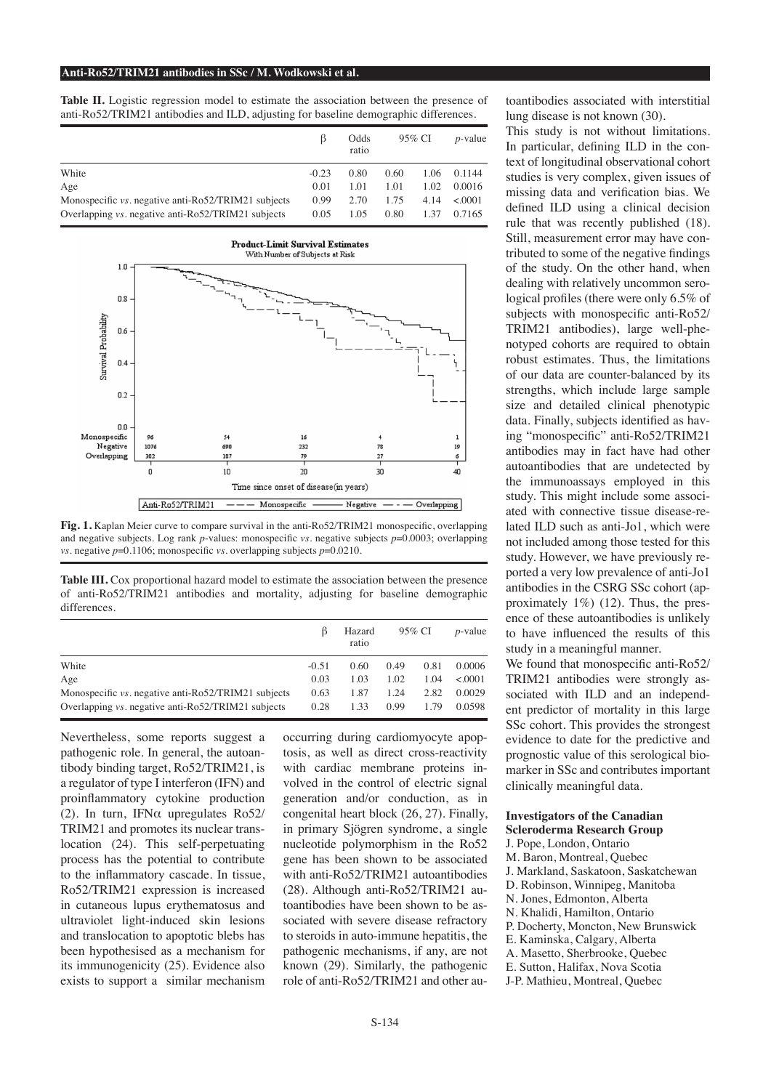#### **Anti-Ro52/TRIM21 antibodies in SSc / M. Wodkowski et al.**

**Table II.** Logistic regression model to estimate the association between the presence of anti-Ro52/TRIM21 antibodies and ILD, adjusting for baseline demographic differences.

|                                                     | ß       | Odds<br>ratio | 95% CI |      | $p$ -value |  |
|-----------------------------------------------------|---------|---------------|--------|------|------------|--|
| White                                               | $-0.23$ | 0.80          | 0.60   | 1.06 | 0.1144     |  |
| Age                                                 | 0.01    | 1.01          | 1.01   | 1.02 | 0.0016     |  |
| Monospecific vs. negative anti-Ro52/TRIM21 subjects | 0.99    | 2.70          | 1.75   | 4.14 | < 0.001    |  |
| Overlapping vs. negative anti-Ro52/TRIM21 subjects  | 0.05    | 1.05          | 0.80   | 1.37 | 0.7165     |  |



Fig. 1. Kaplan Meier curve to compare survival in the anti-Ro52/TRIM21 monospecific, overlapping and negative subjects. Log rank *p*-values: monospecific *vs.* negative subjects *p*=0.0003; overlapping *vs.* negative *p*=0.1106; monospecific *vs.* overlapping subjects *p*=0.0210.

**Table III.** Cox proportional hazard model to estimate the association between the presence of anti-Ro52/TRIM21 antibodies and mortality, adjusting for baseline demographic differences.

|                                                     | ß       | Hazard<br>ratio |      | 95% CI | $p$ -value |
|-----------------------------------------------------|---------|-----------------|------|--------|------------|
| White                                               | $-0.51$ | 0.60            | 0.49 | 0.81   | 0.0006     |
| Age                                                 | 0.03    | 1.03            | 1.02 | 1.04   | < 0.001    |
| Monospecific vs. negative anti-Ro52/TRIM21 subjects | 0.63    | 1.87            | 1.24 | 2.82   | 0.0029     |
| Overlapping vs. negative anti-Ro52/TRIM21 subjects  | 0.28    | 1.33            | 0.99 | 1.79   | 0.0598     |

Nevertheless, some reports suggest a pathogenic role. In general, the autoantibody binding target, Ro52/TRIM21, is a regulator of type I interferon (IFN) and proinflammatory cytokine production (2). In turn, IFNα upregulates Ro52/ TRIM21 and promotes its nuclear translocation (24). This self-perpetuating process has the potential to contribute to the inflammatory cascade. In tissue, Ro52/TRIM21 expression is increased in cutaneous lupus erythematosus and ultraviolet light-induced skin lesions and translocation to apoptotic blebs has been hypothesised as a mechanism for its immunogenicity (25). Evidence also exists to support a similar mechanism

occurring during cardiomyocyte apoptosis, as well as direct cross-reactivity with cardiac membrane proteins involved in the control of electric signal generation and/or conduction, as in congenital heart block (26, 27). Finally, in primary Sjögren syndrome, a single nucleotide polymorphism in the Ro52 gene has been shown to be associated with anti-Ro52/TRIM21 autoantibodies (28). Although anti-Ro52/TRIM21 autoantibodies have been shown to be associated with severe disease refractory to steroids in auto-immune hepatitis, the pathogenic mechanisms, if any, are not known (29). Similarly, the pathogenic role of anti-Ro52/TRIM21 and other autoantibodies associated with interstitial lung disease is not known (30).

This study is not without limitations. In particular, defining ILD in the context of longitudinal observational cohort studies is very complex, given issues of missing data and verification bias. We defined ILD using a clinical decision rule that was recently published (18). Still, measurement error may have contributed to some of the negative findings of the study. On the other hand, when dealing with relatively uncommon serological profiles (there were only 6.5% of subjects with monospecific anti-Ro52/ TRIM21 antibodies), large well-phenotyped cohorts are required to obtain robust estimates. Thus, the limitations of our data are counter-balanced by its strengths, which include large sample size and detailed clinical phenotypic data. Finally, subjects identified as having "monospecific" anti-Ro52/TRIM21 antibodies may in fact have had other autoantibodies that are undetected by the immunoassays employed in this study. This might include some associated with connective tissue disease-related ILD such as anti-Jo1, which were not included among those tested for this study. However, we have previously reported a very low prevalence of anti-Jo1 antibodies in the CSRG SSc cohort (approximately  $1\%$ ) (12). Thus, the presence of these autoantibodies is unlikely to have influenced the results of this study in a meaningful manner. We found that monospecific anti-Ro52/

TRIM21 antibodies were strongly associated with ILD and an independent predictor of mortality in this large SSc cohort. This provides the strongest evidence to date for the predictive and prognostic value of this serological biomarker in SSc and contributes important clinically meaningful data.

# **Investigators of the Canadian Scleroderma Research Group**

J. Pope, London, Ontario

- M. Baron, Montreal, Quebec
- J. Markland, Saskatoon, Saskatchewan
- D. Robinson, Winnipeg, Manitoba
- N. Jones, Edmonton, Alberta
- N. Khalidi, Hamilton, Ontario
- P. Docherty, Moncton, New Brunswick
- E. Kaminska, Calgary, Alberta
- A. Masetto, Sherbrooke, Quebec
- E. Sutton, Halifax, Nova Scotia
- J-P. Mathieu, Montreal, Quebec